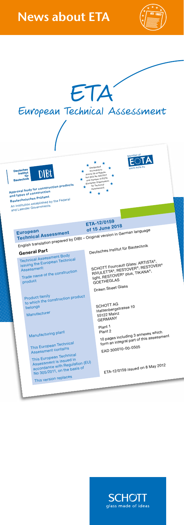## **News about ETA**